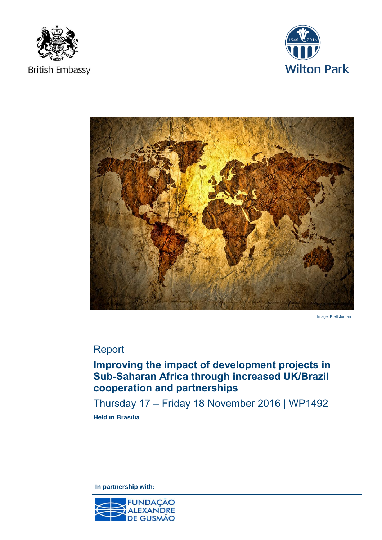





Image: Brett Jordan

## Report

# **Improving the impact of development projects in Sub-Saharan Africa through increased UK/Brazil cooperation and partnerships**

Thursday 17 – Friday 18 November 2016 | WP1492 **Held in Brasilia** 

**In partnership with:** 

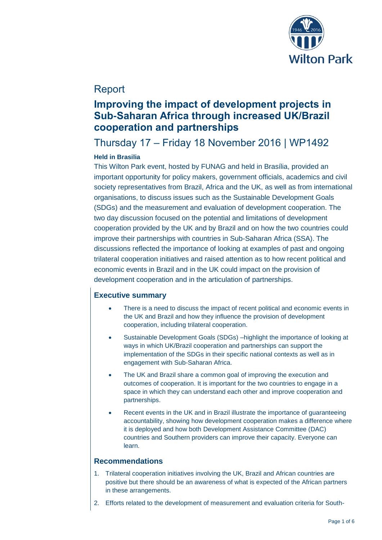

### Report

# **Improving the impact of development projects in Sub-Saharan Africa through increased UK/Brazil cooperation and partnerships**

## Thursday 17 – Friday 18 November 2016 | WP1492

### **Held in Brasilia**

This Wilton Park event, hosted by FUNAG and held in Brasília, provided an important opportunity for policy makers, government officials, academics and civil society representatives from Brazil, Africa and the UK, as well as from international organisations, to discuss issues such as the Sustainable Development Goals (SDGs) and the measurement and evaluation of development cooperation. The two day discussion focused on the potential and limitations of development cooperation provided by the UK and by Brazil and on how the two countries could improve their partnerships with countries in Sub-Saharan Africa (SSA). The discussions reflected the importance of looking at examples of past and ongoing trilateral cooperation initiatives and raised attention as to how recent political and economic events in Brazil and in the UK could impact on the provision of development cooperation and in the articulation of partnerships.

### **Executive summary**

- There is a need to discuss the impact of recent political and economic events in the UK and Brazil and how they influence the provision of development cooperation, including trilateral cooperation.
- Sustainable Development Goals (SDGs) –highlight the importance of looking at ways in which UK/Brazil cooperation and partnerships can support the implementation of the SDGs in their specific national contexts as well as in engagement with Sub-Saharan Africa.
- The UK and Brazil share a common goal of improving the execution and outcomes of cooperation. It is important for the two countries to engage in a space in which they can understand each other and improve cooperation and partnerships.
- Recent events in the UK and in Brazil illustrate the importance of guaranteeing accountability, showing how development cooperation makes a difference where it is deployed and how both Development Assistance Committee (DAC) countries and Southern providers can improve their capacity. Everyone can learn.

#### **Recommendations**

- 1. Trilateral cooperation initiatives involving the UK, Brazil and African countries are positive but there should be an awareness of what is expected of the African partners in these arrangements.
- 2. Efforts related to the development of measurement and evaluation criteria for South-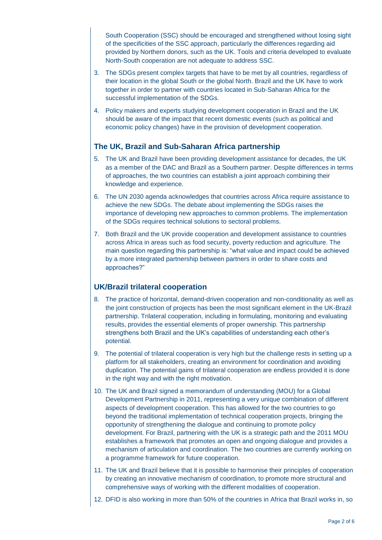South Cooperation (SSC) should be encouraged and strengthened without losing sight of the specificities of the SSC approach, particularly the differences regarding aid provided by Northern donors, such as the UK. Tools and criteria developed to evaluate North-South cooperation are not adequate to address SSC.

- 3. The SDGs present complex targets that have to be met by all countries, regardless of their location in the global South or the global North. Brazil and the UK have to work together in order to partner with countries located in Sub-Saharan Africa for the successful implementation of the SDGs.
- 4. Policy makers and experts studying development cooperation in Brazil and the UK should be aware of the impact that recent domestic events (such as political and economic policy changes) have in the provision of development cooperation.

### **The UK, Brazil and Sub-Saharan Africa partnership**

- 5. The UK and Brazil have been providing development assistance for decades, the UK as a member of the DAC and Brazil as a Southern partner. Despite differences in terms of approaches, the two countries can establish a joint approach combining their knowledge and experience.
- 6. The UN 2030 agenda acknowledges that countries across Africa require assistance to achieve the new SDGs. The debate about implementing the SDGs raises the importance of developing new approaches to common problems. The implementation of the SDGs requires technical solutions to sectoral problems.
- 7. Both Brazil and the UK provide cooperation and development assistance to countries across Africa in areas such as food security, poverty reduction and agriculture. The main question regarding this partnership is: "what value and impact could be achieved by a more integrated partnership between partners in order to share costs and approaches?"

### **UK/Brazil trilateral cooperation**

- 8. The practice of horizontal, demand-driven cooperation and non-conditionality as well as the joint construction of projects has been the most significant element in the UK-Brazil partnership. Trilateral cooperation, including in formulating, monitoring and evaluating results, provides the essential elements of proper ownership. This partnership strengthens both Brazil and the UK's capabilities of understanding each other's potential.
- 9. The potential of trilateral cooperation is very high but the challenge rests in setting up a platform for all stakeholders, creating an environment for coordination and avoiding duplication. The potential gains of trilateral cooperation are endless provided it is done in the right way and with the right motivation.
- 10. The UK and Brazil signed a memorandum of understanding (MOU) for a Global Development Partnership in 2011, representing a very unique combination of different aspects of development cooperation. This has allowed for the two countries to go beyond the traditional implementation of technical cooperation projects, bringing the opportunity of strengthening the dialogue and continuing to promote policy development. For Brazil, partnering with the UK is a strategic path and the 2011 MOU establishes a framework that promotes an open and ongoing dialogue and provides a mechanism of articulation and coordination. The two countries are currently working on a programme framework for future cooperation.
- 11. The UK and Brazil believe that it is possible to harmonise their principles of cooperation by creating an innovative mechanism of coordination, to promote more structural and comprehensive ways of working with the different modalities of cooperation.
- 12. DFID is also working in more than 50% of the countries in Africa that Brazil works in, so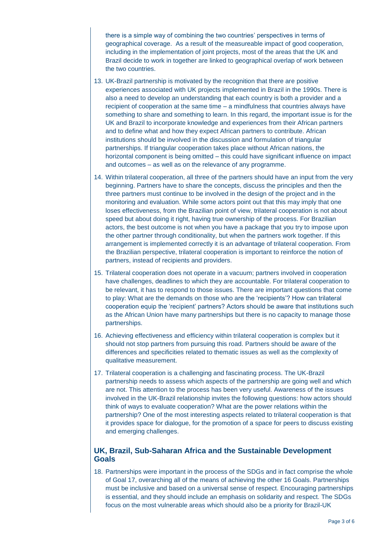there is a simple way of combining the two countries' perspectives in terms of geographical coverage. As a result of the measureable impact of good cooperation, including in the implementation of joint projects, most of the areas that the UK and Brazil decide to work in together are linked to geographical overlap of work between the two countries.

- 13. UK-Brazil partnership is motivated by the recognition that there are positive experiences associated with UK projects implemented in Brazil in the 1990s. There is also a need to develop an understanding that each country is both a provider and a recipient of cooperation at the same time – a mindfulness that countries always have something to share and something to learn. In this regard, the important issue is for the UK and Brazil to incorporate knowledge and experiences from their African partners and to define what and how they expect African partners to contribute. African institutions should be involved in the discussion and formulation of triangular partnerships. If triangular cooperation takes place without African nations, the horizontal component is being omitted – this could have significant influence on impact and outcomes – as well as on the relevance of any programme.
- 14. Within trilateral cooperation, all three of the partners should have an input from the very beginning. Partners have to share the concepts, discuss the principles and then the three partners must continue to be involved in the design of the project and in the monitoring and evaluation. While some actors point out that this may imply that one loses effectiveness, from the Brazilian point of view, trilateral cooperation is not about speed but about doing it right, having true ownership of the process. For Brazilian actors, the best outcome is not when you have a package that you try to impose upon the other partner through conditionality, but when the partners work together. If this arrangement is implemented correctly it is an advantage of trilateral cooperation. From the Brazilian perspective, trilateral cooperation is important to reinforce the notion of partners, instead of recipients and providers.
- 15. Trilateral cooperation does not operate in a vacuum; partners involved in cooperation have challenges, deadlines to which they are accountable. For trilateral cooperation to be relevant, it has to respond to those issues. There are important questions that come to play: What are the demands on those who are the 'recipients'? How can trilateral cooperation equip the 'recipient' partners? Actors should be aware that institutions such as the African Union have many partnerships but there is no capacity to manage those partnerships.
- 16. Achieving effectiveness and efficiency within trilateral cooperation is complex but it should not stop partners from pursuing this road. Partners should be aware of the differences and specificities related to thematic issues as well as the complexity of qualitative measurement.
- 17. Trilateral cooperation is a challenging and fascinating process. The UK-Brazil partnership needs to assess which aspects of the partnership are going well and which are not. This attention to the process has been very useful. Awareness of the issues involved in the UK-Brazil relationship invites the following questions: how actors should think of ways to evaluate cooperation? What are the power relations within the partnership? One of the most interesting aspects related to trilateral cooperation is that it provides space for dialogue, for the promotion of a space for peers to discuss existing and emerging challenges.

#### **UK, Brazil, Sub-Saharan Africa and the Sustainable Development Goals**

18. Partnerships were important in the process of the SDGs and in fact comprise the whole of Goal 17, overarching all of the means of achieving the other 16 Goals. Partnerships must be inclusive and based on a universal sense of respect. Encouraging partnerships is essential, and they should include an emphasis on solidarity and respect. The SDGs focus on the most vulnerable areas which should also be a priority for Brazil-UK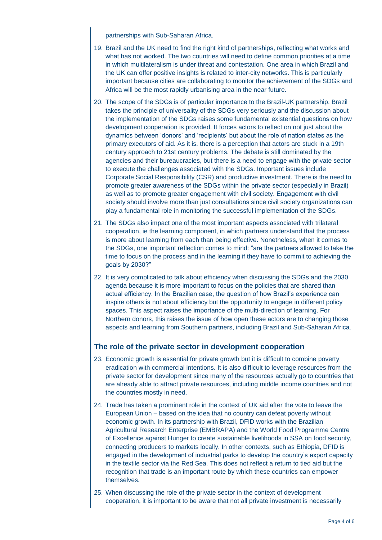partnerships with Sub-Saharan Africa.

- 19. Brazil and the UK need to find the right kind of partnerships, reflecting what works and what has not worked. The two countries will need to define common priorities at a time in which multilateralism is under threat and contestation. One area in which Brazil and the UK can offer positive insights is related to inter-city networks. This is particularly important because cities are collaborating to monitor the achievement of the SDGs and Africa will be the most rapidly urbanising area in the near future.
- 20. The scope of the SDGs is of particular importance to the Brazil-UK partnership. Brazil takes the principle of universality of the SDGs very seriously and the discussion about the implementation of the SDGs raises some fundamental existential questions on how development cooperation is provided. It forces actors to reflect on not just about the dynamics between 'donors' and 'recipients' but about the role of nation states as the primary executors of aid. As it is, there is a perception that actors are stuck in a 19th century approach to 21st century problems. The debate is still dominated by the agencies and their bureaucracies, but there is a need to engage with the private sector to execute the challenges associated with the SDGs. Important issues include Corporate Social Responsibility (CSR) and productive investment. There is the need to promote greater awareness of the SDGs within the private sector (especially in Brazil) as well as to promote greater engagement with civil society. Engagement with civil society should involve more than just consultations since civil society organizations can play a fundamental role in monitoring the successful implementation of the SDGs.
- 21. The SDGs also impact one of the most important aspects associated with trilateral cooperation, ie the learning component, in which partners understand that the process is more about learning from each than being effective. Nonetheless, when it comes to the SDGs, one important reflection comes to mind: "are the partners allowed to take the time to focus on the process and in the learning if they have to commit to achieving the goals by 2030?"
- 22. It is very complicated to talk about efficiency when discussing the SDGs and the 2030 agenda because it is more important to focus on the policies that are shared than actual efficiency. In the Brazilian case, the question of how Brazil's experience can inspire others is not about efficiency but the opportunity to engage in different policy spaces. This aspect raises the importance of the multi-direction of learning. For Northern donors, this raises the issue of how open these actors are to changing those aspects and learning from Southern partners, including Brazil and Sub-Saharan Africa.

#### **The role of the private sector in development cooperation**

- 23. Economic growth is essential for private growth but it is difficult to combine poverty eradication with commercial intentions. It is also difficult to leverage resources from the private sector for development since many of the resources actually go to countries that are already able to attract private resources, including middle income countries and not the countries mostly in need.
- 24. Trade has taken a prominent role in the context of UK aid after the vote to leave the European Union – based on the idea that no country can defeat poverty without economic growth. In its partnership with Brazil, DFID works with the Brazilian Agricultural Research Enterprise (EMBRAPA) and the World Food Programme Centre of Excellence against Hunger to create sustainable livelihoods in SSA on food security, connecting producers to markets locally. In other contexts, such as Ethiopia, DFID is engaged in the development of industrial parks to develop the country's export capacity in the textile sector via the Red Sea. This does not reflect a return to tied aid but the recognition that trade is an important route by which these countries can empower themselves.
- 25. When discussing the role of the private sector in the context of development cooperation, it is important to be aware that not all private investment is necessarily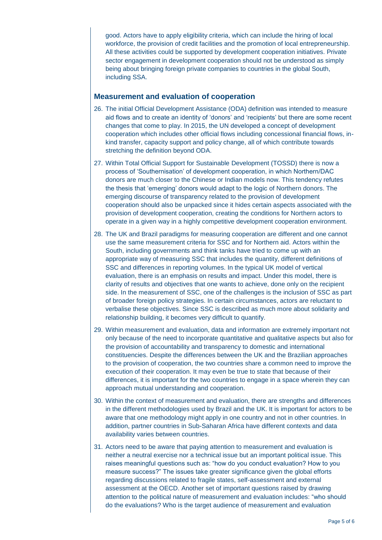good. Actors have to apply eligibility criteria, which can include the hiring of local workforce, the provision of credit facilities and the promotion of local entrepreneurship. All these activities could be supported by development cooperation initiatives. Private sector engagement in development cooperation should not be understood as simply being about bringing foreign private companies to countries in the global South, including SSA.

#### **Measurement and evaluation of cooperation**

- 26. The initial Official Development Assistance (ODA) definition was intended to measure aid flows and to create an identity of 'donors' and 'recipients' but there are some recent changes that come to play. In 2015, the UN developed a concept of development cooperation which includes other official flows including concessional financial flows, inkind transfer, capacity support and policy change, all of which contribute towards stretching the definition beyond ODA.
- 27. Within Total Official Support for Sustainable Development (TOSSD) there is now a process of 'Southernisation' of development cooperation, in which Northern/DAC donors are much closer to the Chinese or Indian models now. This tendency refutes the thesis that 'emerging' donors would adapt to the logic of Northern donors. The emerging discourse of transparency related to the provision of development cooperation should also be unpacked since it hides certain aspects associated with the provision of development cooperation, creating the conditions for Northern actors to operate in a given way in a highly competitive development cooperation environment.
- 28. The UK and Brazil paradigms for measuring cooperation are different and one cannot use the same measurement criteria for SSC and for Northern aid. Actors within the South, including governments and think tanks have tried to come up with an appropriate way of measuring SSC that includes the quantity, different definitions of SSC and differences in reporting volumes. In the typical UK model of vertical evaluation, there is an emphasis on results and impact. Under this model, there is clarity of results and objectives that one wants to achieve, done only on the recipient side. In the measurement of SSC, one of the challenges is the inclusion of SSC as part of broader foreign policy strategies. In certain circumstances, actors are reluctant to verbalise these objectives. Since SSC is described as much more about solidarity and relationship building, it becomes very difficult to quantify.
- 29. Within measurement and evaluation, data and information are extremely important not only because of the need to incorporate quantitative and qualitative aspects but also for the provision of accountability and transparency to domestic and international constituencies. Despite the differences between the UK and the Brazilian approaches to the provision of cooperation, the two countries share a common need to improve the execution of their cooperation. It may even be true to state that because of their differences, it is important for the two countries to engage in a space wherein they can approach mutual understanding and cooperation.
- 30. Within the context of measurement and evaluation, there are strengths and differences in the different methodologies used by Brazil and the UK. It is important for actors to be aware that one methodology might apply in one country and not in other countries. In addition, partner countries in Sub-Saharan Africa have different contexts and data availability varies between countries.
- 31. Actors need to be aware that paying attention to measurement and evaluation is neither a neutral exercise nor a technical issue but an important political issue. This raises meaningful questions such as: "how do you conduct evaluation? How to you measure success?" The issues take greater significance given the global efforts regarding discussions related to fragile states, self-assessment and external assessment at the OECD. Another set of important questions raised by drawing attention to the political nature of measurement and evaluation includes: "who should do the evaluations? Who is the target audience of measurement and evaluation